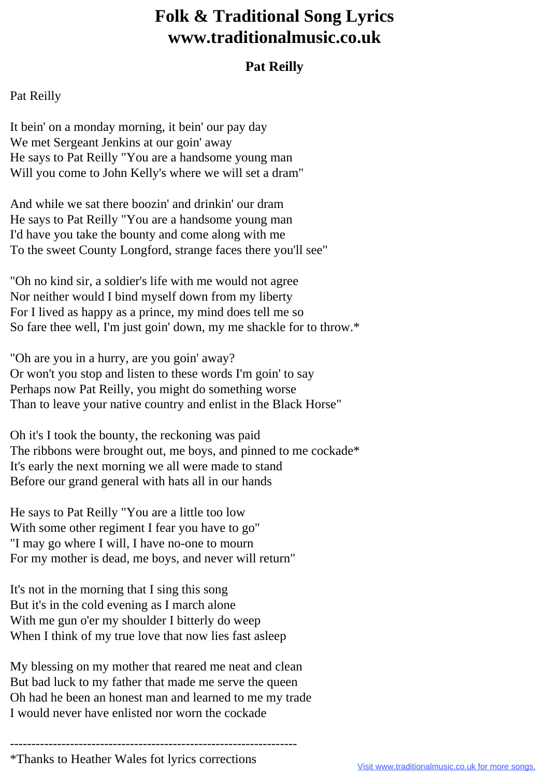## **Folk & Traditional Song Lyrics www.traditionalmusic.co.uk**

## **Pat Reilly**

## Pat Reilly

It bein' on a monday morning, it bein' our pay day We met Sergeant Jenkins at our goin' away He says to Pat Reilly "You are a handsome young man Will you come to John Kelly's where we will set a dram"

And while we sat there boozin' and drinkin' our dram He says to Pat Reilly "You are a handsome young man I'd have you take the bounty and come along with me To the sweet County Longford, strange faces there you'll see"

"Oh no kind sir, a soldier's life with me would not agree Nor neither would I bind myself down from my liberty For I lived as happy as a prince, my mind does tell me so So fare thee well, I'm just goin' down, my me shackle for to throw.\*

"Oh are you in a hurry, are you goin' away? Or won't you stop and listen to these words I'm goin' to say Perhaps now Pat Reilly, you might do something worse Than to leave your native country and enlist in the Black Horse"

Oh it's I took the bounty, the reckoning was paid The ribbons were brought out, me boys, and pinned to me cockade\* It's early the next morning we all were made to stand Before our grand general with hats all in our hands

He says to Pat Reilly "You are a little too low With some other regiment I fear you have to go" "I may go where I will, I have no-one to mourn For my mother is dead, me boys, and never will return"

It's not in the morning that I sing this song But it's in the cold evening as I march alone With me gun o'er my shoulder I bitterly do weep When I think of my true love that now lies fast asleep

My blessing on my mother that reared me neat and clean But bad luck to my father that made me serve the queen Oh had he been an honest man and learned to me my trade I would never have enlisted nor worn the cockade

<sup>-------------------------------------------------------------------</sup>

<sup>\*</sup>Thanks to Heather Wales fot lyrics corrections